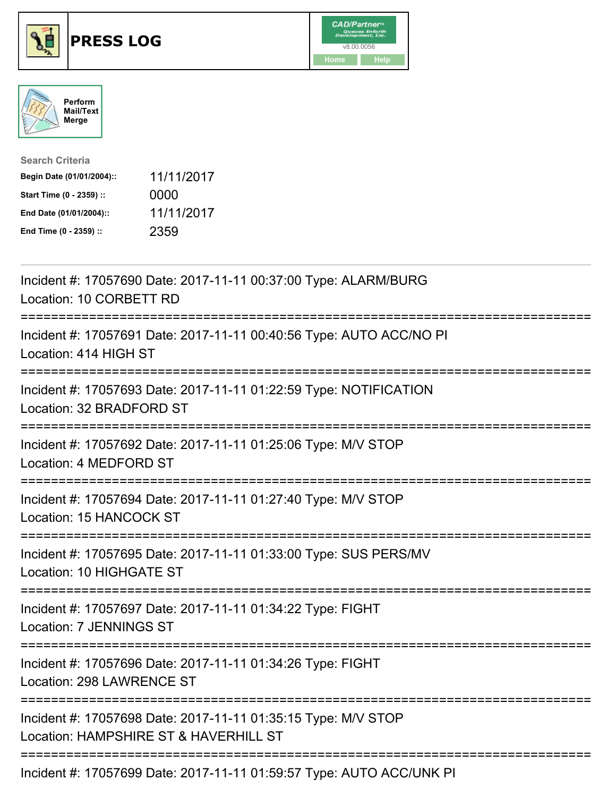





| <b>Search Criteria</b>    |            |
|---------------------------|------------|
| Begin Date (01/01/2004):: | 11/11/2017 |
| Start Time (0 - 2359) ::  | 0000       |
| End Date (01/01/2004)::   | 11/11/2017 |
| End Time (0 - 2359) ::    | 2359       |

| Incident #: 17057690 Date: 2017-11-11 00:37:00 Type: ALARM/BURG<br>Location: 10 CORBETT RD                          |
|---------------------------------------------------------------------------------------------------------------------|
| Incident #: 17057691 Date: 2017-11-11 00:40:56 Type: AUTO ACC/NO PI<br>Location: 414 HIGH ST                        |
| Incident #: 17057693 Date: 2017-11-11 01:22:59 Type: NOTIFICATION<br>Location: 32 BRADFORD ST                       |
| Incident #: 17057692 Date: 2017-11-11 01:25:06 Type: M/V STOP<br>Location: 4 MEDFORD ST                             |
| Incident #: 17057694 Date: 2017-11-11 01:27:40 Type: M/V STOP<br>Location: 15 HANCOCK ST<br>=====================   |
| Incident #: 17057695 Date: 2017-11-11 01:33:00 Type: SUS PERS/MV<br>Location: 10 HIGHGATE ST<br>=================== |
| Incident #: 17057697 Date: 2017-11-11 01:34:22 Type: FIGHT<br><b>Location: 7 JENNINGS ST</b>                        |
| Incident #: 17057696 Date: 2017-11-11 01:34:26 Type: FIGHT<br>Location: 298 LAWRENCE ST                             |
| Incident #: 17057698 Date: 2017-11-11 01:35:15 Type: M/V STOP<br>Location: HAMPSHIRE ST & HAVERHILL ST              |
| Incident #: 17057699 Date: 2017-11-11 01:59:57 Type: AUTO ACC/UNK PI                                                |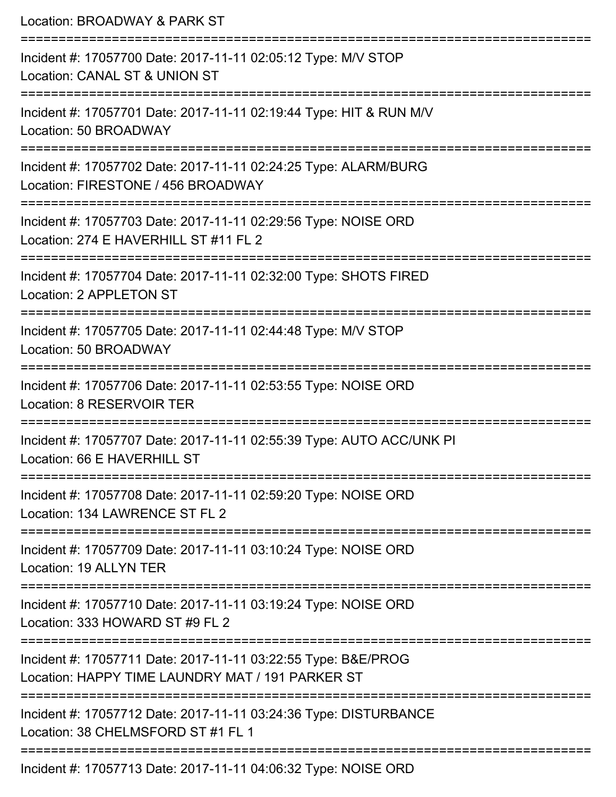| Location: BROADWAY & PARK ST                                                                                      |  |
|-------------------------------------------------------------------------------------------------------------------|--|
| Incident #: 17057700 Date: 2017-11-11 02:05:12 Type: M/V STOP<br>Location: CANAL ST & UNION ST                    |  |
| Incident #: 17057701 Date: 2017-11-11 02:19:44 Type: HIT & RUN M/V<br>Location: 50 BROADWAY                       |  |
| Incident #: 17057702 Date: 2017-11-11 02:24:25 Type: ALARM/BURG<br>Location: FIRESTONE / 456 BROADWAY             |  |
| Incident #: 17057703 Date: 2017-11-11 02:29:56 Type: NOISE ORD<br>Location: 274 E HAVERHILL ST #11 FL 2           |  |
| Incident #: 17057704 Date: 2017-11-11 02:32:00 Type: SHOTS FIRED<br>Location: 2 APPLETON ST                       |  |
| Incident #: 17057705 Date: 2017-11-11 02:44:48 Type: M/V STOP<br>Location: 50 BROADWAY<br>---------------------   |  |
| Incident #: 17057706 Date: 2017-11-11 02:53:55 Type: NOISE ORD<br>Location: 8 RESERVOIR TER                       |  |
| Incident #: 17057707 Date: 2017-11-11 02:55:39 Type: AUTO ACC/UNK PI<br>Location: 66 E HAVERHILL ST               |  |
| Incident #: 17057708 Date: 2017-11-11 02:59:20 Type: NOISE ORD<br>Location: 134 LAWRENCE ST FL 2                  |  |
| Incident #: 17057709 Date: 2017-11-11 03:10:24 Type: NOISE ORD<br>Location: 19 ALLYN TER                          |  |
| Incident #: 17057710 Date: 2017-11-11 03:19:24 Type: NOISE ORD<br>Location: 333 HOWARD ST #9 FL 2                 |  |
| Incident #: 17057711 Date: 2017-11-11 03:22:55 Type: B&E/PROG<br>Location: HAPPY TIME LAUNDRY MAT / 191 PARKER ST |  |
| Incident #: 17057712 Date: 2017-11-11 03:24:36 Type: DISTURBANCE<br>Location: 38 CHELMSFORD ST #1 FL 1            |  |
| Incident #: 17057713 Date: 2017-11-11 04:06:32 Type: NOISE ORD                                                    |  |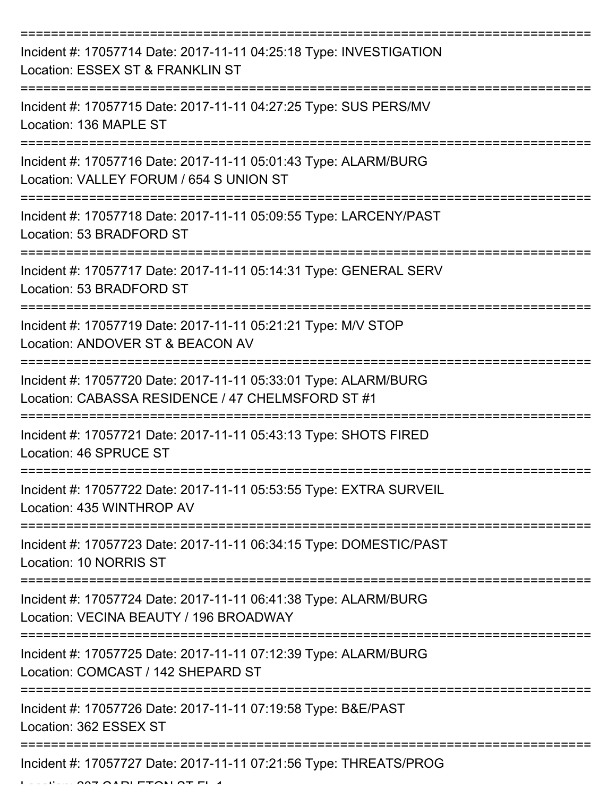| Incident #: 17057714 Date: 2017-11-11 04:25:18 Type: INVESTIGATION<br>Location: ESSEX ST & FRANKLIN ST               |
|----------------------------------------------------------------------------------------------------------------------|
| Incident #: 17057715 Date: 2017-11-11 04:27:25 Type: SUS PERS/MV<br>Location: 136 MAPLE ST                           |
| Incident #: 17057716 Date: 2017-11-11 05:01:43 Type: ALARM/BURG<br>Location: VALLEY FORUM / 654 S UNION ST           |
| Incident #: 17057718 Date: 2017-11-11 05:09:55 Type: LARCENY/PAST<br>Location: 53 BRADFORD ST                        |
| Incident #: 17057717 Date: 2017-11-11 05:14:31 Type: GENERAL SERV<br>Location: 53 BRADFORD ST                        |
| Incident #: 17057719 Date: 2017-11-11 05:21:21 Type: M/V STOP<br>Location: ANDOVER ST & BEACON AV                    |
| Incident #: 17057720 Date: 2017-11-11 05:33:01 Type: ALARM/BURG<br>Location: CABASSA RESIDENCE / 47 CHELMSFORD ST #1 |
| Incident #: 17057721 Date: 2017-11-11 05:43:13 Type: SHOTS FIRED<br>Location: 46 SPRUCE ST                           |
| Incident #: 17057722 Date: 2017-11-11 05:53:55 Type: EXTRA SURVEIL<br>Location: 435 WINTHROP AV                      |
| Incident #: 17057723 Date: 2017-11-11 06:34:15 Type: DOMESTIC/PAST<br>Location: 10 NORRIS ST                         |
| Incident #: 17057724 Date: 2017-11-11 06:41:38 Type: ALARM/BURG<br>Location: VECINA BEAUTY / 196 BROADWAY            |
| Incident #: 17057725 Date: 2017-11-11 07:12:39 Type: ALARM/BURG<br>Location: COMCAST / 142 SHEPARD ST                |
| Incident #: 17057726 Date: 2017-11-11 07:19:58 Type: B&E/PAST<br>Location: 362 ESSEX ST                              |
| Incident #: 17057727 Date: 2017-11-11 07:21:56 Type: THREATS/PROG                                                    |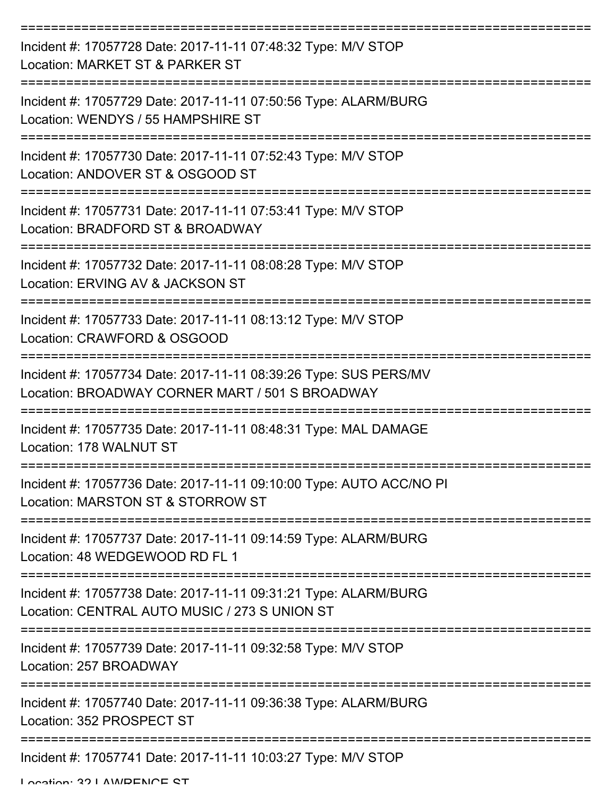| Incident #: 17057728 Date: 2017-11-11 07:48:32 Type: M/V STOP<br>Location: MARKET ST & PARKER ST                    |
|---------------------------------------------------------------------------------------------------------------------|
| Incident #: 17057729 Date: 2017-11-11 07:50:56 Type: ALARM/BURG<br>Location: WENDYS / 55 HAMPSHIRE ST               |
| Incident #: 17057730 Date: 2017-11-11 07:52:43 Type: M/V STOP<br>Location: ANDOVER ST & OSGOOD ST                   |
| Incident #: 17057731 Date: 2017-11-11 07:53:41 Type: M/V STOP<br>Location: BRADFORD ST & BROADWAY                   |
| Incident #: 17057732 Date: 2017-11-11 08:08:28 Type: M/V STOP<br>Location: ERVING AV & JACKSON ST                   |
| Incident #: 17057733 Date: 2017-11-11 08:13:12 Type: M/V STOP<br>Location: CRAWFORD & OSGOOD                        |
| Incident #: 17057734 Date: 2017-11-11 08:39:26 Type: SUS PERS/MV<br>Location: BROADWAY CORNER MART / 501 S BROADWAY |
| Incident #: 17057735 Date: 2017-11-11 08:48:31 Type: MAL DAMAGE<br>Location: 178 WALNUT ST                          |
| Incident #: 17057736 Date: 2017-11-11 09:10:00 Type: AUTO ACC/NO PI<br>Location: MARSTON ST & STORROW ST            |
| Incident #: 17057737 Date: 2017-11-11 09:14:59 Type: ALARM/BURG<br>Location: 48 WEDGEWOOD RD FL 1                   |
| Incident #: 17057738 Date: 2017-11-11 09:31:21 Type: ALARM/BURG<br>Location: CENTRAL AUTO MUSIC / 273 S UNION ST    |
| Incident #: 17057739 Date: 2017-11-11 09:32:58 Type: M/V STOP<br>Location: 257 BROADWAY                             |
| Incident #: 17057740 Date: 2017-11-11 09:36:38 Type: ALARM/BURG<br>Location: 352 PROSPECT ST                        |
| Incident #: 17057741 Date: 2017-11-11 10:03:27 Type: M/V STOP                                                       |

Location: 32 LAMDENCE CT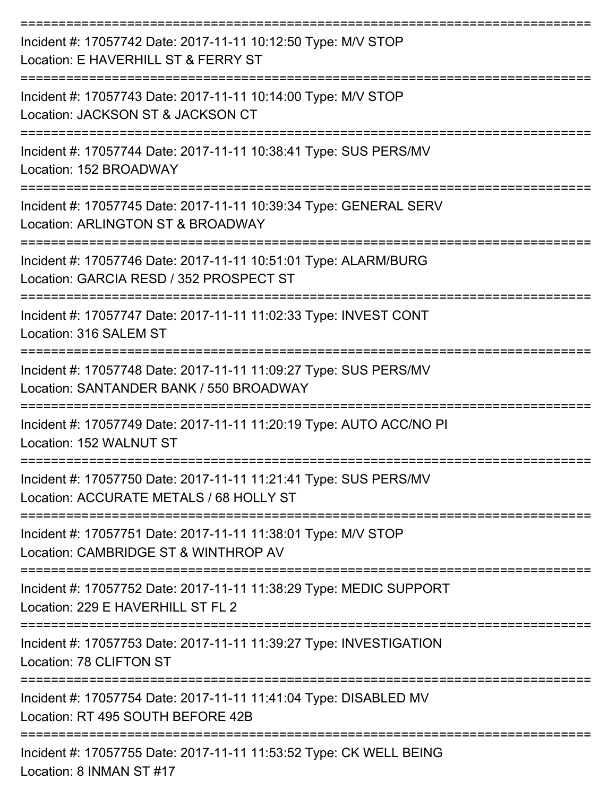| Incident #: 17057742 Date: 2017-11-11 10:12:50 Type: M/V STOP<br>Location: E HAVERHILL ST & FERRY ST        |
|-------------------------------------------------------------------------------------------------------------|
| Incident #: 17057743 Date: 2017-11-11 10:14:00 Type: M/V STOP<br>Location: JACKSON ST & JACKSON CT          |
| Incident #: 17057744 Date: 2017-11-11 10:38:41 Type: SUS PERS/MV<br>Location: 152 BROADWAY                  |
| Incident #: 17057745 Date: 2017-11-11 10:39:34 Type: GENERAL SERV<br>Location: ARLINGTON ST & BROADWAY      |
| Incident #: 17057746 Date: 2017-11-11 10:51:01 Type: ALARM/BURG<br>Location: GARCIA RESD / 352 PROSPECT ST  |
| Incident #: 17057747 Date: 2017-11-11 11:02:33 Type: INVEST CONT<br>Location: 316 SALEM ST                  |
| Incident #: 17057748 Date: 2017-11-11 11:09:27 Type: SUS PERS/MV<br>Location: SANTANDER BANK / 550 BROADWAY |
| Incident #: 17057749 Date: 2017-11-11 11:20:19 Type: AUTO ACC/NO PI<br>Location: 152 WALNUT ST              |
| Incident #: 17057750 Date: 2017-11-11 11:21:41 Type: SUS PERS/MV<br>Location: ACCURATE METALS / 68 HOLLY ST |
| Incident #: 17057751 Date: 2017-11-11 11:38:01 Type: M/V STOP<br>Location: CAMBRIDGE ST & WINTHROP AV       |
| Incident #: 17057752 Date: 2017-11-11 11:38:29 Type: MEDIC SUPPORT<br>Location: 229 E HAVERHILL ST FL 2     |
| Incident #: 17057753 Date: 2017-11-11 11:39:27 Type: INVESTIGATION<br>Location: 78 CLIFTON ST               |
| Incident #: 17057754 Date: 2017-11-11 11:41:04 Type: DISABLED MV<br>Location: RT 495 SOUTH BEFORE 42B       |
| Incident #: 17057755 Date: 2017-11-11 11:53:52 Type: CK WELL BEING<br>Location: 8 INMAN ST #17              |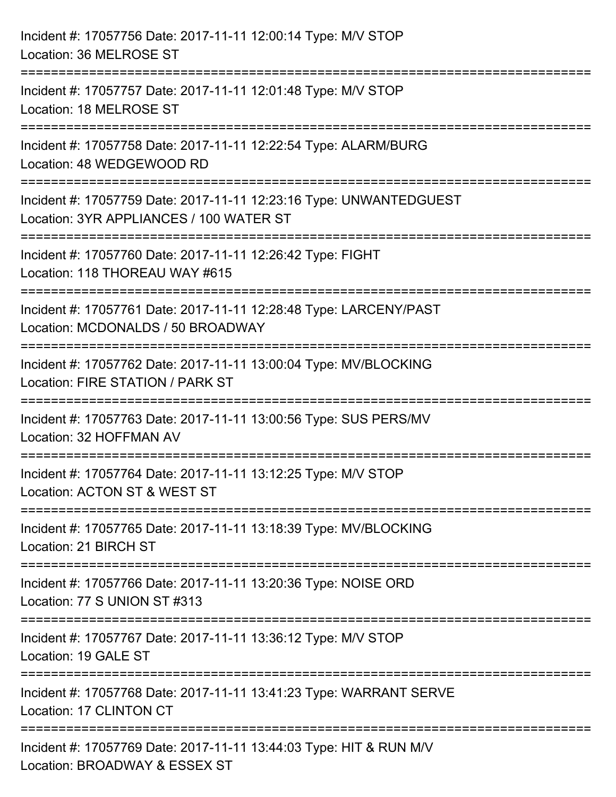| Incident #: 17057756 Date: 2017-11-11 12:00:14 Type: M/V STOP<br>Location: 36 MELROSE ST                      |
|---------------------------------------------------------------------------------------------------------------|
| Incident #: 17057757 Date: 2017-11-11 12:01:48 Type: M/V STOP<br>Location: 18 MELROSE ST                      |
| Incident #: 17057758 Date: 2017-11-11 12:22:54 Type: ALARM/BURG<br>Location: 48 WEDGEWOOD RD                  |
| Incident #: 17057759 Date: 2017-11-11 12:23:16 Type: UNWANTEDGUEST<br>Location: 3YR APPLIANCES / 100 WATER ST |
| Incident #: 17057760 Date: 2017-11-11 12:26:42 Type: FIGHT<br>Location: 118 THOREAU WAY #615                  |
| Incident #: 17057761 Date: 2017-11-11 12:28:48 Type: LARCENY/PAST<br>Location: MCDONALDS / 50 BROADWAY        |
| Incident #: 17057762 Date: 2017-11-11 13:00:04 Type: MV/BLOCKING<br>Location: FIRE STATION / PARK ST          |
| Incident #: 17057763 Date: 2017-11-11 13:00:56 Type: SUS PERS/MV<br>Location: 32 HOFFMAN AV                   |
| Incident #: 17057764 Date: 2017-11-11 13:12:25 Type: M/V STOP<br>Location: ACTON ST & WEST ST                 |
| Incident #: 17057765 Date: 2017-11-11 13:18:39 Type: MV/BLOCKING<br>Location: 21 BIRCH ST                     |
| Incident #: 17057766 Date: 2017-11-11 13:20:36 Type: NOISE ORD<br>Location: 77 S UNION ST #313                |
| Incident #: 17057767 Date: 2017-11-11 13:36:12 Type: M/V STOP<br>Location: 19 GALE ST                         |
| Incident #: 17057768 Date: 2017-11-11 13:41:23 Type: WARRANT SERVE<br>Location: 17 CLINTON CT                 |
| Incident #: 17057769 Date: 2017-11-11 13:44:03 Type: HIT & RUN M/V<br>Location: BROADWAY & ESSEX ST           |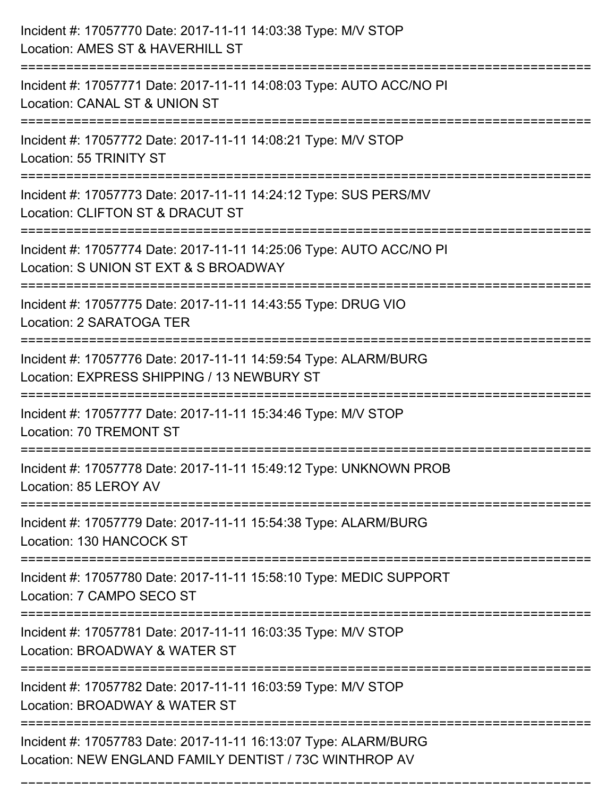| Incident #: 17057770 Date: 2017-11-11 14:03:38 Type: M/V STOP<br>Location: AMES ST & HAVERHILL ST                                       |
|-----------------------------------------------------------------------------------------------------------------------------------------|
| Incident #: 17057771 Date: 2017-11-11 14:08:03 Type: AUTO ACC/NO PI<br>Location: CANAL ST & UNION ST                                    |
| Incident #: 17057772 Date: 2017-11-11 14:08:21 Type: M/V STOP<br>Location: 55 TRINITY ST                                                |
| Incident #: 17057773 Date: 2017-11-11 14:24:12 Type: SUS PERS/MV<br>Location: CLIFTON ST & DRACUT ST                                    |
| Incident #: 17057774 Date: 2017-11-11 14:25:06 Type: AUTO ACC/NO PI<br>Location: S UNION ST EXT & S BROADWAY<br>======================= |
| Incident #: 17057775 Date: 2017-11-11 14:43:55 Type: DRUG VIO<br>Location: 2 SARATOGA TER                                               |
| Incident #: 17057776 Date: 2017-11-11 14:59:54 Type: ALARM/BURG<br>Location: EXPRESS SHIPPING / 13 NEWBURY ST                           |
| Incident #: 17057777 Date: 2017-11-11 15:34:46 Type: M/V STOP<br><b>Location: 70 TREMONT ST</b>                                         |
| Incident #: 17057778 Date: 2017-11-11 15:49:12 Type: UNKNOWN PROB<br>Location: 85 LEROY AV                                              |
| Incident #: 17057779 Date: 2017-11-11 15:54:38 Type: ALARM/BURG<br>Location: 130 HANCOCK ST                                             |
| Incident #: 17057780 Date: 2017-11-11 15:58:10 Type: MEDIC SUPPORT<br>Location: 7 CAMPO SECO ST                                         |
| Incident #: 17057781 Date: 2017-11-11 16:03:35 Type: M/V STOP<br>Location: BROADWAY & WATER ST                                          |
| Incident #: 17057782 Date: 2017-11-11 16:03:59 Type: M/V STOP<br>Location: BROADWAY & WATER ST                                          |
| Incident #: 17057783 Date: 2017-11-11 16:13:07 Type: ALARM/BURG<br>Location: NEW ENGLAND FAMILY DENTIST / 73C WINTHROP AV               |

===========================================================================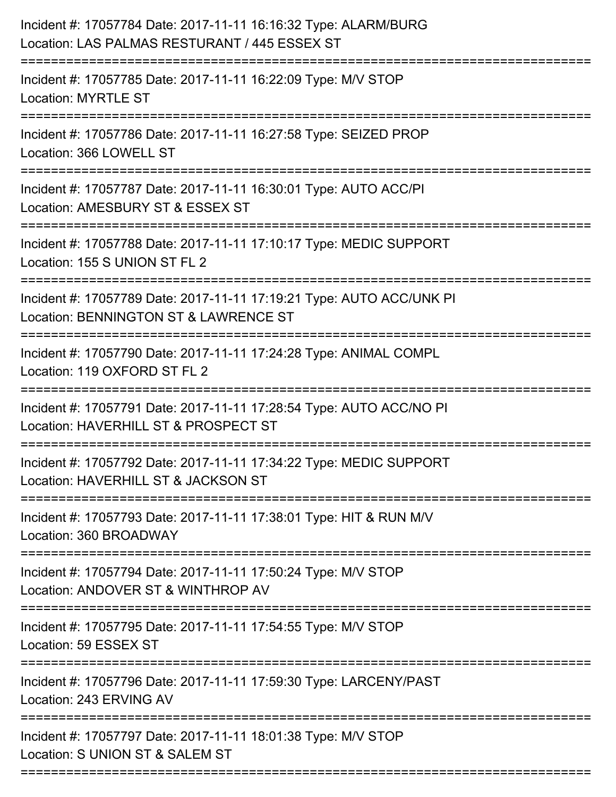| Incident #: 17057784 Date: 2017-11-11 16:16:32 Type: ALARM/BURG<br>Location: LAS PALMAS RESTURANT / 445 ESSEX ST                   |
|------------------------------------------------------------------------------------------------------------------------------------|
| .=====================<br>Incident #: 17057785 Date: 2017-11-11 16:22:09 Type: M/V STOP<br><b>Location: MYRTLE ST</b>              |
| Incident #: 17057786 Date: 2017-11-11 16:27:58 Type: SEIZED PROP<br>Location: 366 LOWELL ST                                        |
| Incident #: 17057787 Date: 2017-11-11 16:30:01 Type: AUTO ACC/PI<br>Location: AMESBURY ST & ESSEX ST                               |
| Incident #: 17057788 Date: 2017-11-11 17:10:17 Type: MEDIC SUPPORT<br>Location: 155 S UNION ST FL 2                                |
| Incident #: 17057789 Date: 2017-11-11 17:19:21 Type: AUTO ACC/UNK PI<br>Location: BENNINGTON ST & LAWRENCE ST                      |
| Incident #: 17057790 Date: 2017-11-11 17:24:28 Type: ANIMAL COMPL<br>Location: 119 OXFORD ST FL 2                                  |
| Incident #: 17057791 Date: 2017-11-11 17:28:54 Type: AUTO ACC/NO PI<br>Location: HAVERHILL ST & PROSPECT ST                        |
| Incident #: 17057792 Date: 2017-11-11 17:34:22 Type: MEDIC SUPPORT<br>Location: HAVERHILL ST & JACKSON ST                          |
| Incident #: 17057793 Date: 2017-11-11 17:38:01 Type: HIT & RUN M/V<br>Location: 360 BROADWAY                                       |
| Incident #: 17057794 Date: 2017-11-11 17:50:24 Type: M/V STOP<br>Location: ANDOVER ST & WINTHROP AV                                |
| Incident #: 17057795 Date: 2017-11-11 17:54:55 Type: M/V STOP<br>Location: 59 ESSEX ST                                             |
| ==================================<br>Incident #: 17057796 Date: 2017-11-11 17:59:30 Type: LARCENY/PAST<br>Location: 243 ERVING AV |
| Incident #: 17057797 Date: 2017-11-11 18:01:38 Type: M/V STOP<br>Location: S UNION ST & SALEM ST                                   |
|                                                                                                                                    |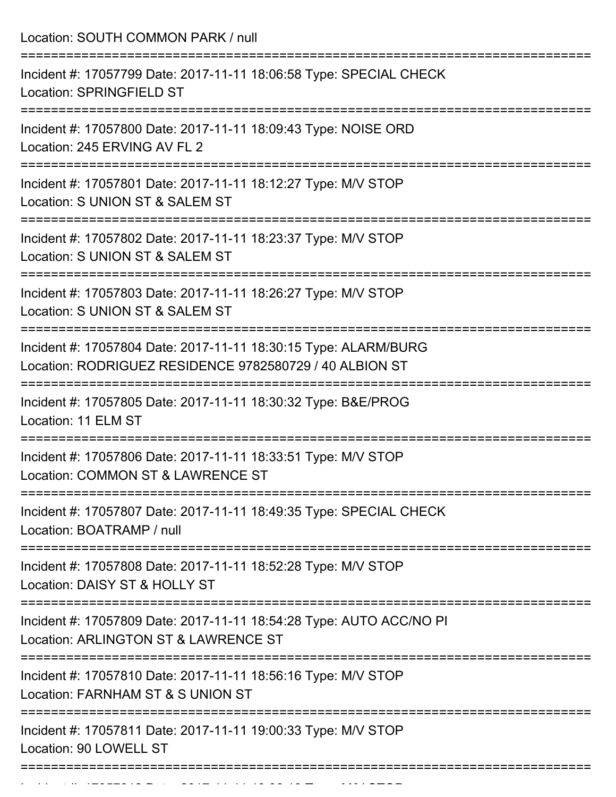Location: SOUTH COMMON PARK / null =========================================================================== Incident #: 17057799 Date: 2017-11-11 18:06:58 Type: SPECIAL CHECK Location: SPRINGFIELD ST =========================================================================== Incident #: 17057800 Date: 2017-11-11 18:09:43 Type: NOISE ORD Location: 245 ERVING AV FL 2 =========================================================================== Incident #: 17057801 Date: 2017-11-11 18:12:27 Type: M/V STOP Location: S UNION ST & SALEM ST =========================================================================== Incident #: 17057802 Date: 2017-11-11 18:23:37 Type: M/V STOP Location: S UNION ST & SALEM ST =========================================================================== Incident #: 17057803 Date: 2017-11-11 18:26:27 Type: M/V STOP Location: S UNION ST & SALEM ST =========================================================================== Incident #: 17057804 Date: 2017-11-11 18:30:15 Type: ALARM/BURG Location: RODRIGUEZ RESIDENCE 9782580729 / 40 ALBION ST =========================================================================== Incident #: 17057805 Date: 2017-11-11 18:30:32 Type: B&E/PROG Location: 11 ELM ST =========================================================================== Incident #: 17057806 Date: 2017-11-11 18:33:51 Type: M/V STOP Location: COMMON ST & LAWRENCE ST =========================================================================== Incident #: 17057807 Date: 2017-11-11 18:49:35 Type: SPECIAL CHECK Location: BOATRAMP / null =========================================================================== Incident #: 17057808 Date: 2017-11-11 18:52:28 Type: M/V STOP Location: DAISY ST & HOLLY ST =========================================================================== Incident #: 17057809 Date: 2017-11-11 18:54:28 Type: AUTO ACC/NO PI Location: ARLINGTON ST & LAWRENCE ST =========================================================================== Incident #: 17057810 Date: 2017-11-11 18:56:16 Type: M/V STOP Location: FARNHAM ST & S UNION ST =========================================================================== Incident #: 17057811 Date: 2017-11-11 19:00:33 Type: M/V STOP Location: 90 LOWELL ST ===========================================================================

Incident #: 17057812 Date: 2017 11 11 19:06:19 Type: M/V STOP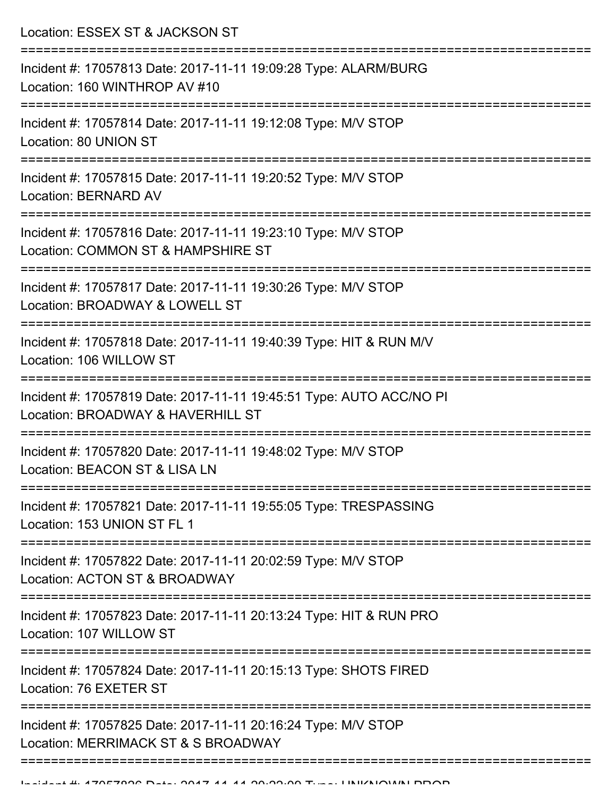Location: ESSEX ST & JACKSON ST =========================================================================== Incident #: 17057813 Date: 2017-11-11 19:09:28 Type: ALARM/BURG Location: 160 WINTHROP AV #10 =========================================================================== Incident #: 17057814 Date: 2017-11-11 19:12:08 Type: M/V STOP Location: 80 UNION ST =========================================================================== Incident #: 17057815 Date: 2017-11-11 19:20:52 Type: M/V STOP Location: BERNARD AV =========================================================================== Incident #: 17057816 Date: 2017-11-11 19:23:10 Type: M/V STOP Location: COMMON ST & HAMPSHIRE ST =========================================================================== Incident #: 17057817 Date: 2017-11-11 19:30:26 Type: M/V STOP Location: BROADWAY & LOWELL ST =========================================================================== Incident #: 17057818 Date: 2017-11-11 19:40:39 Type: HIT & RUN M/V Location: 106 WILLOW ST =========================================================================== Incident #: 17057819 Date: 2017-11-11 19:45:51 Type: AUTO ACC/NO PI Location: BROADWAY & HAVERHILL ST =========================================================================== Incident #: 17057820 Date: 2017-11-11 19:48:02 Type: M/V STOP Location: BEACON ST & LISA LN =========================================================================== Incident #: 17057821 Date: 2017-11-11 19:55:05 Type: TRESPASSING Location: 153 UNION ST FL 1 =========================================================================== Incident #: 17057822 Date: 2017-11-11 20:02:59 Type: M/V STOP Location: ACTON ST & BROADWAY =========================================================================== Incident #: 17057823 Date: 2017-11-11 20:13:24 Type: HIT & RUN PRO Location: 107 WILLOW ST =========================================================================== Incident #: 17057824 Date: 2017-11-11 20:15:13 Type: SHOTS FIRED Location: 76 EXETER ST =========================================================================== Incident #: 17057825 Date: 2017-11-11 20:16:24 Type: M/V STOP Location: MERRIMACK ST & S BROADWAY ===================================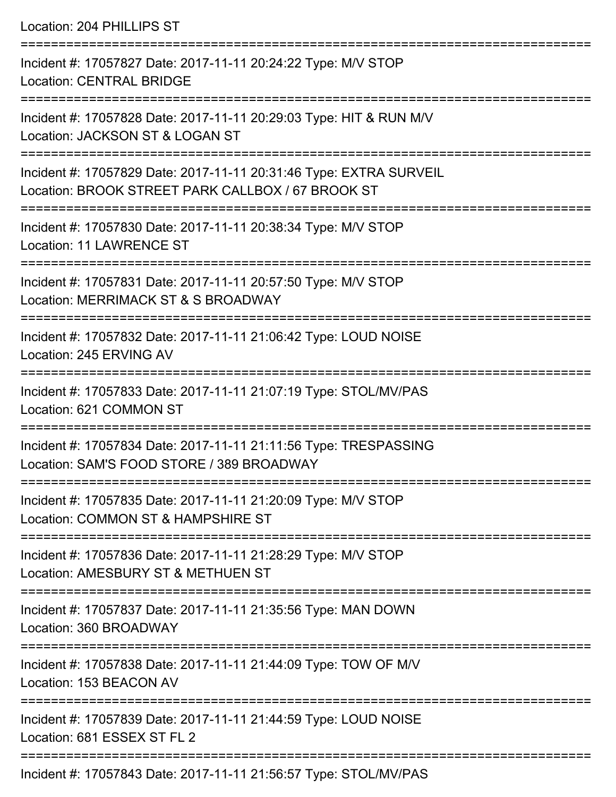Location: 204 PHILLIPS ST

=========================================================================== Incident #: 17057827 Date: 2017-11-11 20:24:22 Type: M/V STOP Location: CENTRAL BRIDGE =========================================================================== Incident #: 17057828 Date: 2017-11-11 20:29:03 Type: HIT & RUN M/V Location: JACKSON ST & LOGAN ST =========================================================================== Incident #: 17057829 Date: 2017-11-11 20:31:46 Type: EXTRA SURVEIL Location: BROOK STREET PARK CALLBOX / 67 BROOK ST =========================================================================== Incident #: 17057830 Date: 2017-11-11 20:38:34 Type: M/V STOP Location: 11 LAWRENCE ST =========================================================================== Incident #: 17057831 Date: 2017-11-11 20:57:50 Type: M/V STOP Location: MERRIMACK ST & S BROADWAY =========================================================================== Incident #: 17057832 Date: 2017-11-11 21:06:42 Type: LOUD NOISE Location: 245 ERVING AV =========================================================================== Incident #: 17057833 Date: 2017-11-11 21:07:19 Type: STOL/MV/PAS Location: 621 COMMON ST =========================================================================== Incident #: 17057834 Date: 2017-11-11 21:11:56 Type: TRESPASSING Location: SAM'S FOOD STORE / 389 BROADWAY =========================================================================== Incident #: 17057835 Date: 2017-11-11 21:20:09 Type: M/V STOP Location: COMMON ST & HAMPSHIRE ST =========================================================================== Incident #: 17057836 Date: 2017-11-11 21:28:29 Type: M/V STOP Location: AMESBURY ST & METHUEN ST =========================================================================== Incident #: 17057837 Date: 2017-11-11 21:35:56 Type: MAN DOWN Location: 360 BROADWAY =========================================================================== Incident #: 17057838 Date: 2017-11-11 21:44:09 Type: TOW OF M/V Location: 153 BEACON AV =========================================================================== Incident #: 17057839 Date: 2017-11-11 21:44:59 Type: LOUD NOISE Location: 681 ESSEX ST FL 2 =========================================================================== Incident #: 17057843 Date: 2017-11-11 21:56:57 Type: STOL/MV/PAS